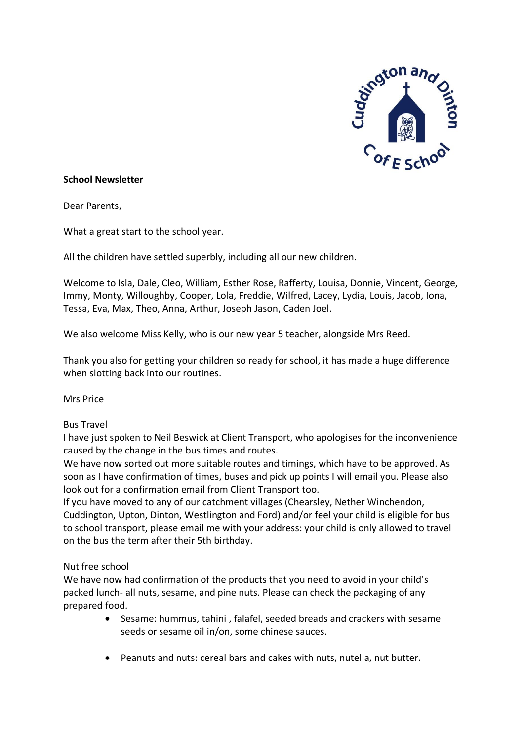

## **School Newsletter**

Dear Parents,

What a great start to the school year.

All the children have settled superbly, including all our new children.

Welcome to Isla, Dale, Cleo, William, Esther Rose, Rafferty, Louisa, Donnie, Vincent, George, Immy, Monty, Willoughby, Cooper, Lola, Freddie, Wilfred, Lacey, Lydia, Louis, Jacob, Iona, Tessa, Eva, Max, Theo, Anna, Arthur, Joseph Jason, Caden Joel.

We also welcome Miss Kelly, who is our new year 5 teacher, alongside Mrs Reed.

Thank you also for getting your children so ready for school, it has made a huge difference when slotting back into our routines.

Mrs Price

#### Bus Travel

I have just spoken to Neil Beswick at Client Transport, who apologises for the inconvenience caused by the change in the bus times and routes.

We have now sorted out more suitable routes and timings, which have to be approved. As soon as I have confirmation of times, buses and pick up points I will email you. Please also look out for a confirmation email from Client Transport too.

If you have moved to any of our catchment villages (Chearsley, Nether Winchendon, Cuddington, Upton, Dinton, Westlington and Ford) and/or feel your child is eligible for bus to school transport, please email me with your address: your child is only allowed to travel on the bus the term after their 5th birthday.

#### Nut free school

We have now had confirmation of the products that you need to avoid in your child's packed lunch- all nuts, sesame, and pine nuts. Please can check the packaging of any prepared food.

- Sesame: hummus, tahini , falafel, seeded breads and crackers with sesame seeds or sesame oil in/on, some chinese sauces.
- Peanuts and nuts: cereal bars and cakes with nuts, nutella, nut butter.